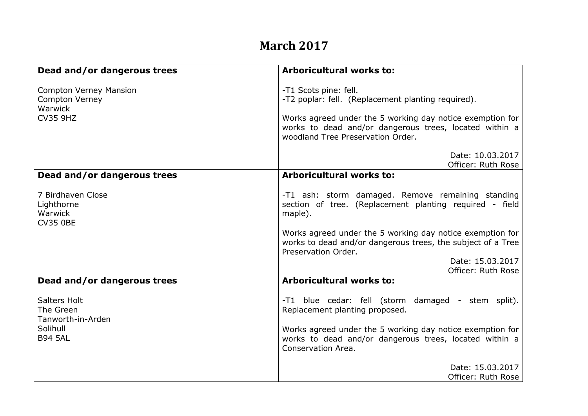## **March 2017**

| Dead and/or dangerous trees                                                          | <b>Arboricultural works to:</b>                                                                                                                                                                                                         |
|--------------------------------------------------------------------------------------|-----------------------------------------------------------------------------------------------------------------------------------------------------------------------------------------------------------------------------------------|
| <b>Compton Verney Mansion</b><br><b>Compton Verney</b><br>Warwick<br><b>CV35 9HZ</b> | -T1 Scots pine: fell.<br>-T2 poplar: fell. (Replacement planting required).<br>Works agreed under the 5 working day notice exemption for<br>works to dead and/or dangerous trees, located within a<br>woodland Tree Preservation Order. |
|                                                                                      | Date: 10.03.2017<br>Officer: Ruth Rose                                                                                                                                                                                                  |
| Dead and/or dangerous trees                                                          | <b>Arboricultural works to:</b>                                                                                                                                                                                                         |
| 7 Birdhaven Close<br>Lighthorne<br>Warwick<br><b>CV35 0BE</b>                        | -T1 ash: storm damaged. Remove remaining standing<br>section of tree. (Replacement planting required - field<br>maple).                                                                                                                 |
|                                                                                      | Works agreed under the 5 working day notice exemption for<br>works to dead and/or dangerous trees, the subject of a Tree<br>Preservation Order.                                                                                         |
|                                                                                      | Date: 15.03.2017<br>Officer: Ruth Rose                                                                                                                                                                                                  |
| Dead and/or dangerous trees                                                          | <b>Arboricultural works to:</b>                                                                                                                                                                                                         |
| <b>Salters Holt</b><br>The Green<br>Tanworth-in-Arden<br>Solihull<br><b>B94 5AL</b>  | -T1 blue cedar: fell (storm damaged - stem split).<br>Replacement planting proposed.                                                                                                                                                    |
|                                                                                      | Works agreed under the 5 working day notice exemption for<br>works to dead and/or dangerous trees, located within a<br>Conservation Area.                                                                                               |
|                                                                                      | Date: 15.03.2017<br>Officer: Ruth Rose                                                                                                                                                                                                  |